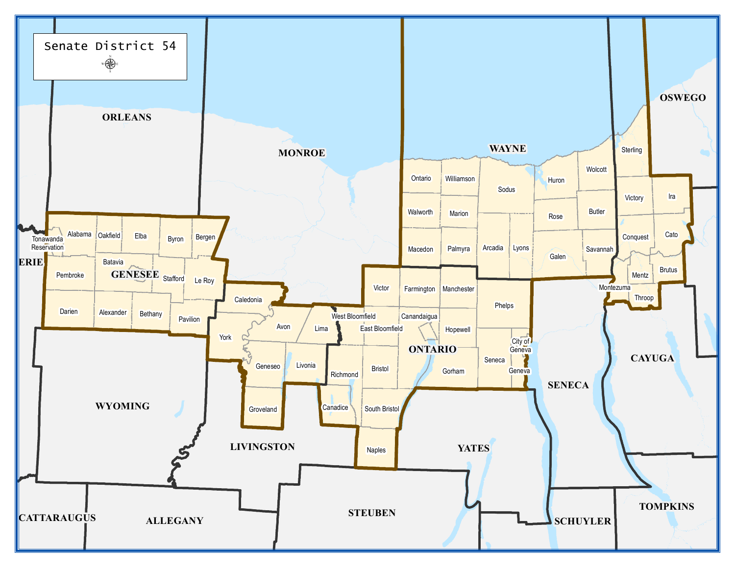